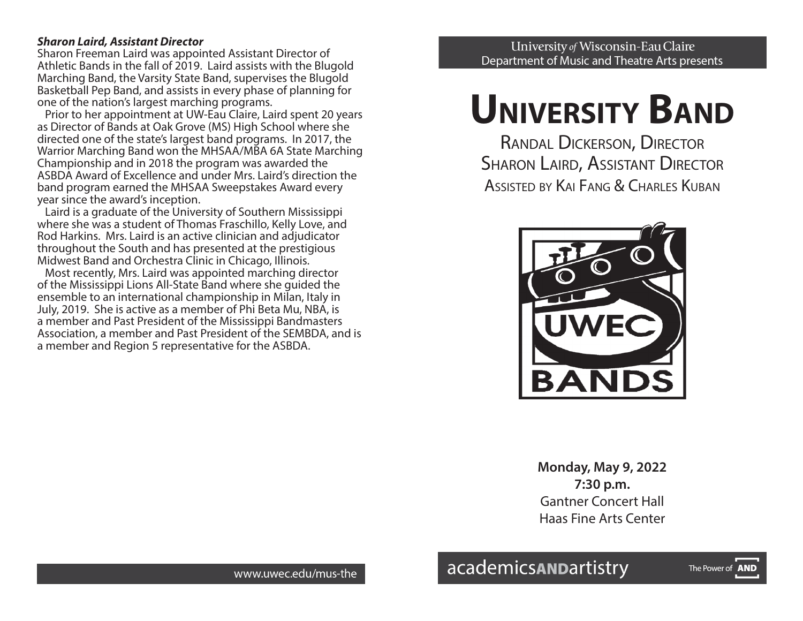#### *Sharon Laird, Assistant Director*

Sharon Freeman Laird was appointed Assistant Director of Athletic Bands in the fall of 2019. Laird assists with the Blugold Marching Band, the Varsity State Band, supervises the Blugold Basketball Pep Band, and assists in every phase of planning for one of the nation's largest marching programs.

 Prior to her appointment at UW-Eau Claire, Laird spent 20 years as Director of Bands at Oak Grove (MS) High School where she directed one of the state's largest band programs. In 2017, the Warrior Marching Band won the MHSAA/MBA 6A State Marching Championship and in 2018 the program was awarded the ASBDA Award of Excellence and under Mrs. Laird's direction the band program earned the MHSAA Sweepstakes Award every year since the award's inception.

 Laird is a graduate of the University of Southern Mississippi where she was a student of Thomas Fraschillo, Kelly Love, and Rod Harkins. Mrs. Laird is an active clinician and adjudicator throughout the South and has presented at the prestigious Midwest Band and Orchestra Clinic in Chicago, Illinois.

 Most recently, Mrs. Laird was appointed marching director of the Mississippi Lions All-State Band where she guided the ensemble to an international championship in Milan, Italy in July, 2019. She is active as a member of Phi Beta Mu, NBA, is a member and Past President of the Mississippi Bandmasters Association, a member and Past President of the SEMBDA, and is a member and Region 5 representative for the ASBDA.

University of Wisconsin-Eau Claire Department of Music and Theatre Arts presents

# **UNIVERSITY BAND**

Randal Dickerson, Director **SHARON LAIRD, ASSISTANT DIRECTOR** ASSISTED BY KAI FANG & CHARLES KUBAN



**Monday, May 9, 2022 7:30 p.m.** Gantner Concert Hall Haas Fine Arts Center

The Power of **AND**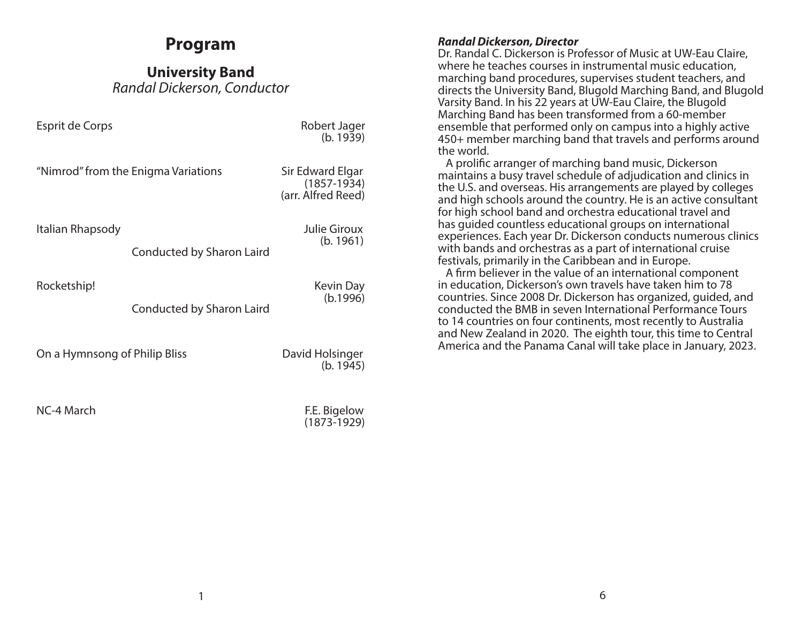# **Program**

**University Band** *Randal Dickerson, Conductor*

Esprit de Corps **Robert Jager** Robert Jager

(b. 1939)

"Nimrod" from the Enigma Variations Sir Edward Elgar

(1857-1934) (arr. Alfred Reed)

Italian Rhapsody Julie Giroux

(b. 1961)

Conducted by Sharon Laird

Rocketship! Kevin Day

(b.1996)

Conducted by Sharon Laird

On a Hymnsong of Philip Bliss **David Holsinger** 

(b. 1945)

NC-4 March **F.E. Bigelow** 

(1873-1929)

## *Randal Dickerson, Director*

Dr. Randal C. Dickerson is Professor of Music at UW-Eau Claire, where he teaches courses in instrumental music education, marching band procedures, supervises student teachers, and directs the University Band, Blugold Marching Band, and Blugold Varsity Band. In his 22 years at UW-Eau Claire, the Blugold Marching Band has been transformed from a 60-member ensemble that performed only on campus into a highly active 450+ member marching band that travels and performs around the world.

 A prolific arranger of marching band music, Dickerson maintains a busy travel schedule of adjudication and clinics in the U.S. and overseas. His arrangements are played by colleges and high schools around the country. He is an active consultant for high school band and orchestra educational travel and has guided countless educational groups on international experiences. Each year Dr. Dickerson conducts numerous clinics with bands and orchestras as a part of international cruise festivals, primarily in the Caribbean and in Europe.

 A firm believer in the value of an international component in education, Dickerson's own travels have taken him to 78 countries. Since 2008 Dr. Dickerson has organized, guided, and conducted the BMB in seven International Performance Tours to 14 countries on four continents, most recently to Australia and New Zealand in 2020. The eighth tour, this time to Central America and the Panama Canal will take place in January, 2023.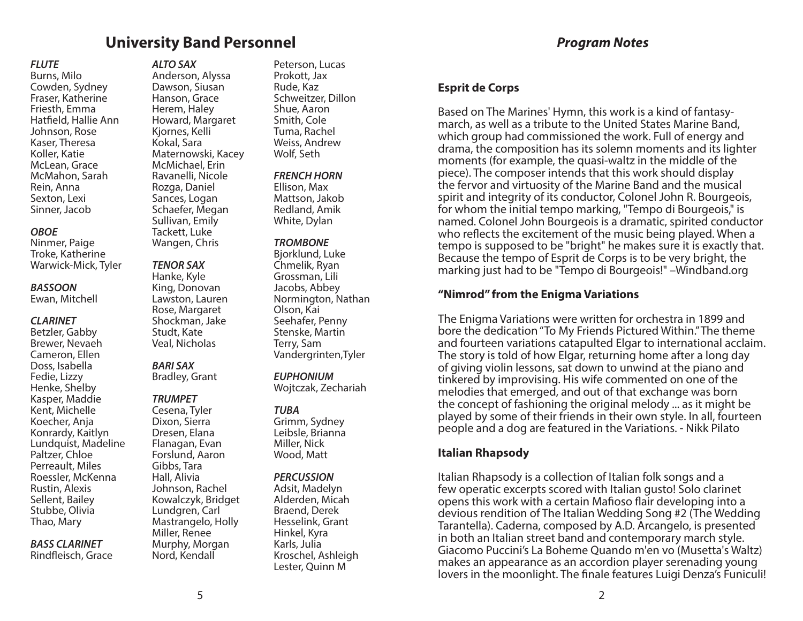## **University Band Personnel**

## *Program Notes*

#### *FLUTE*

Burns, Milo Cowden, Sydney Fraser, Katherine Friesth, Emma Hatfield, Hallie Ann Johnson, Rose Kaser, Theresa Koller, Katie McLean, Grace McMahon, Sarah Rein, Anna Sexton, Lexi Sinner, Jacob

#### *OBOE*

Ninmer, Paige Troke, Katherine Warwick-Mick, Tyler

#### *BASSOON*

Ewan, Mitchell

#### *CLARINET*

Betzler, Gabby Brewer, Nevaeh Cameron, Ellen Doss, Isabella Fedie, Lizzy Henke, Shelby Kasper, Maddie Kent, Michelle Koecher, Anja Konrardy, Kaitlyn Lundquist, Madeline Paltzer, Chloe Perreault, Miles Roessler, McKenna Rustin, Alexis Sellent, Bailey Stubbe, Olivia Thao, Mary

## *BASS CLARINET*

Rindfleisch, Grace

*ALTO SAX* Anderson, Alyssa Dawson, Siusan Hanson, Grace Herem, Haley Howard, Margaret Kjornes, Kelli Kokal, Sara Maternowski, Kacey McMichael, Erin Ravanelli, Nicole Rozga, Daniel Sances, Logan Schaefer, Megan Sullivan, Emily Tackett, Luke

#### *TENOR SAX*

Wangen, Chris

Hanke, Kyle King, Donovan Lawston, Lauren Rose, Margaret Shockman, Jake Studt, Kate Veal, Nicholas

# *BARI SAX*

Bradley, Grant

## *TRUMPET*

Cesena, Tyler Dixon, Sierra Dresen, Elana Flanagan, Evan Forslund, Aaron Gibbs, Tara Hall, Alivia Johnson, Rachel Kowalczyk, Bridget Lundgren, Carl Mastrangelo, Holly Miller, Renee Murphy, Morgan Nord, Kendall

Peterson, Lucas Prokott, Jax Rude, Kaz Schweitzer, Dillon Shue, Aaron Smith, Cole Tuma, Rachel Weiss, Andrew Wolf, Seth

#### *FRENCH HORN*

Ellison, Max Mattson, Jakob Redland, Amik White, Dylan

#### *TROMBONE*

Bjorklund, Luke Chmelik, Ryan Grossman, Lili Jacobs, Abbey Normington, Nathan Olson, Kai Seehafer, Penny Stenske, Martin Terry, Sam Vandergrinten,Tyler

#### *EUPHONIUM*

Wojtczak, Zechariah

## *TUBA*

Grimm, Sydney Leibsle, Brianna Miller, Nick Wood, Matt

#### *PERCUSSION*

Adsit, Madelyn Alderden, Micah Braend, Derek Hesselink, Grant Hinkel, Kyra Karls, Julia Kroschel, Ashleigh Lester, Quinn M

## **Esprit de Corps**

Based on The Marines' Hymn, this work is a kind of fantasymarch, as well as a tribute to the United States Marine Band, which group had commissioned the work. Full of energy and drama, the composition has its solemn moments and its lighter moments (for example, the quasi-waltz in the middle of the piece). The composer intends that this work should display the fervor and virtuosity of the Marine Band and the musical spirit and integrity of its conductor, Colonel John R. Bourgeois, for whom the initial tempo marking, "Tempo di Bourgeois," is named. Colonel John Bourgeois is a dramatic, spirited conductor who reflects the excitement of the music being played. When a tempo is supposed to be "bright" he makes sure it is exactly that. Because the tempo of Esprit de Corps is to be very bright, the marking just had to be "Tempo di Bourgeois!" –Windband.org

## **"Nimrod" from the Enigma Variations**

The Enigma Variations were written for orchestra in 1899 and bore the dedication "To My Friends Pictured Within." The theme and fourteen variations catapulted Elgar to international acclaim. The story is told of how Elgar, returning home after a long day of giving violin lessons, sat down to unwind at the piano and tinkered by improvising. His wife commented on one of the melodies that emerged, and out of that exchange was born the concept of fashioning the original melody ... as it might be played by some of their friends in their own style. In all, fourteen people and a dog are featured in the Variations. - Nikk Pilato

## **Italian Rhapsody**

Italian Rhapsody is a collection of Italian folk songs and a few operatic excerpts scored with Italian gusto! Solo clarinet opens this work with a certain Mafioso flair developing into a devious rendition of The Italian Wedding Song #2 (The Wedding Tarantella). Caderna, composed by A.D. Arcangelo, is presented in both an Italian street band and contemporary march style. Giacomo Puccini's La Boheme Quando m'en vo (Musetta's Waltz) makes an appearance as an accordion player serenading young lovers in the moonlight. The finale features Luigi Denza's Funiculi!